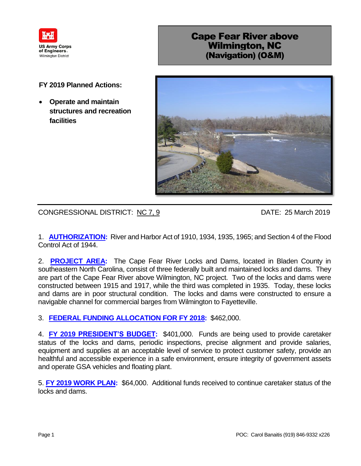

## Cape Fear River above Wilmington, NC (Navigation) (O&M)

## **FY 2019 Planned Actions:**

 **Operate and maintain structures and recreation facilities**



CONGRESSIONAL DISTRICT: NC 7, 9 DATE: 25 March 2019

1. **AUTHORIZATION:** River and Harbor Act of 1910, 1934, 1935, 1965; and Section 4 of the Flood Control Act of 1944.

2. **PROJECT AREA:** The Cape Fear River Locks and Dams, located in Bladen County in southeastern North Carolina, consist of three federally built and maintained locks and dams. They are part of the Cape Fear River above Wilmington, NC project. Two of the locks and dams were constructed between 1915 and 1917, while the third was completed in 1935. Today, these locks and dams are in poor structural condition. The locks and dams were constructed to ensure a navigable channel for commercial barges from Wilmington to Fayetteville.

## 3. **FEDERAL FUNDING ALLOCATION FOR FY 2018:** \$462,000.

4. **FY 2019 PRESIDENT'S BUDGET:** \$401,000. Funds are being used to provide caretaker status of the locks and dams, periodic inspections, precise alignment and provide salaries, equipment and supplies at an acceptable level of service to protect customer safety, provide an healthful and accessible experience in a safe environment, ensure integrity of government assets and operate GSA vehicles and floating plant.

5. **FY 2019 WORK PLAN:** \$64,000. Additional funds received to continue caretaker status of the locks and dams.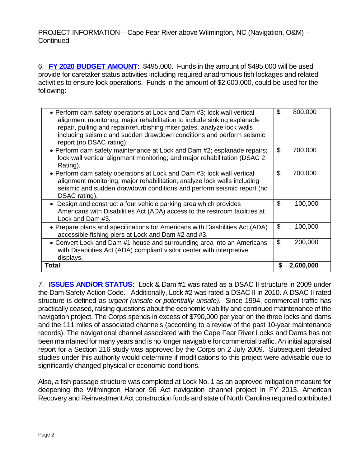PROJECT INFORMATION – Cape Fear River above Wilmington, NC (Navigation, O&M) – **Continued** 

6. **FY 2020 BUDGET AMOUNT:** \$495,000. Funds in the amount of \$495,000 will be used provide for caretaker status activities including required anadromous fish lockages and related activities to ensure lock operations. Funds in the amount of \$2,600,000, could be used for the following:

| with Disabilities Act (ADA) compliant visitor center with interpretive<br>displays.                                                                                                                                                                                                                                              | \$<br>200,000<br>2,600,000 |
|----------------------------------------------------------------------------------------------------------------------------------------------------------------------------------------------------------------------------------------------------------------------------------------------------------------------------------|----------------------------|
| • Convert Lock and Dam #1 house and surrounding area into an Americans                                                                                                                                                                                                                                                           |                            |
| • Prepare plans and specifications for Americans with Disabilities Act (ADA)<br>accessible fishing piers at Lock and Dam #2 and #3.                                                                                                                                                                                              | \$<br>100,000              |
| Design and construct a four vehicle parking area which provides<br>Americans with Disabilities Act (ADA) access to the restroom facilities at<br>Lock and Dam #3.                                                                                                                                                                | \$<br>100,000              |
| • Perform dam safety operations at Lock and Dam #3; lock wall vertical<br>alignment monitoring; major rehabilitation; analyze lock walls including<br>seismic and sudden drawdown conditions and perform seismic report (no<br>DSAC rating).                                                                                     | \$<br>700,000              |
| • Perform dam safety maintenance at Lock and Dam #2; esplanade repairs;<br>lock wall vertical alignment monitoring; and major rehabilitation (DSAC 2)<br>Rating).                                                                                                                                                                | \$<br>700,000              |
| • Perform dam safety operations at Lock and Dam #3; lock wall vertical<br>alignment monitoring; major rehabilitation to include sinking esplanade<br>repair, pulling and repair/refurbishing miter gates, analyze lock walls<br>including seismic and sudden drawdown conditions and perform seismic<br>report (no DSAC rating). | \$<br>800,000              |

7. **ISSUES AND/OR STATUS:** Lock & Dam #1 was rated as a DSAC II structure in 2009 under the Dam Safety Action Code. Additionally, Lock #2 was rated a DSAC II in 2010. A DSAC II rated structure is defined as *urgent (unsafe or potentially unsafe)*. Since 1994, commercial traffic has practically ceased, raising questions about the economic viability and continued maintenance of the navigation project. The Corps spends in excess of \$790,000 per year on the three locks and dams and the 111 miles of associated channels (according to a review of the past 10-year maintenance records). The navigational channel associated with the Cape Fear River Locks and Dams has not been maintained for many years and is no longer navigable for commercial traffic. An initial appraisal report for a Section 216 study was approved by the Corps on 2 July 2009. Subsequent detailed studies under this authority would determine if modifications to this project were advisable due to significantly changed physical or economic conditions.

Also, a fish passage structure was completed at Lock No. 1 as an approved mitigation measure for deepening the Wilmington Harbor 96 Act navigation channel project in FY 2013. American Recovery and Reinvestment Act construction funds and state of North Carolina required contributed